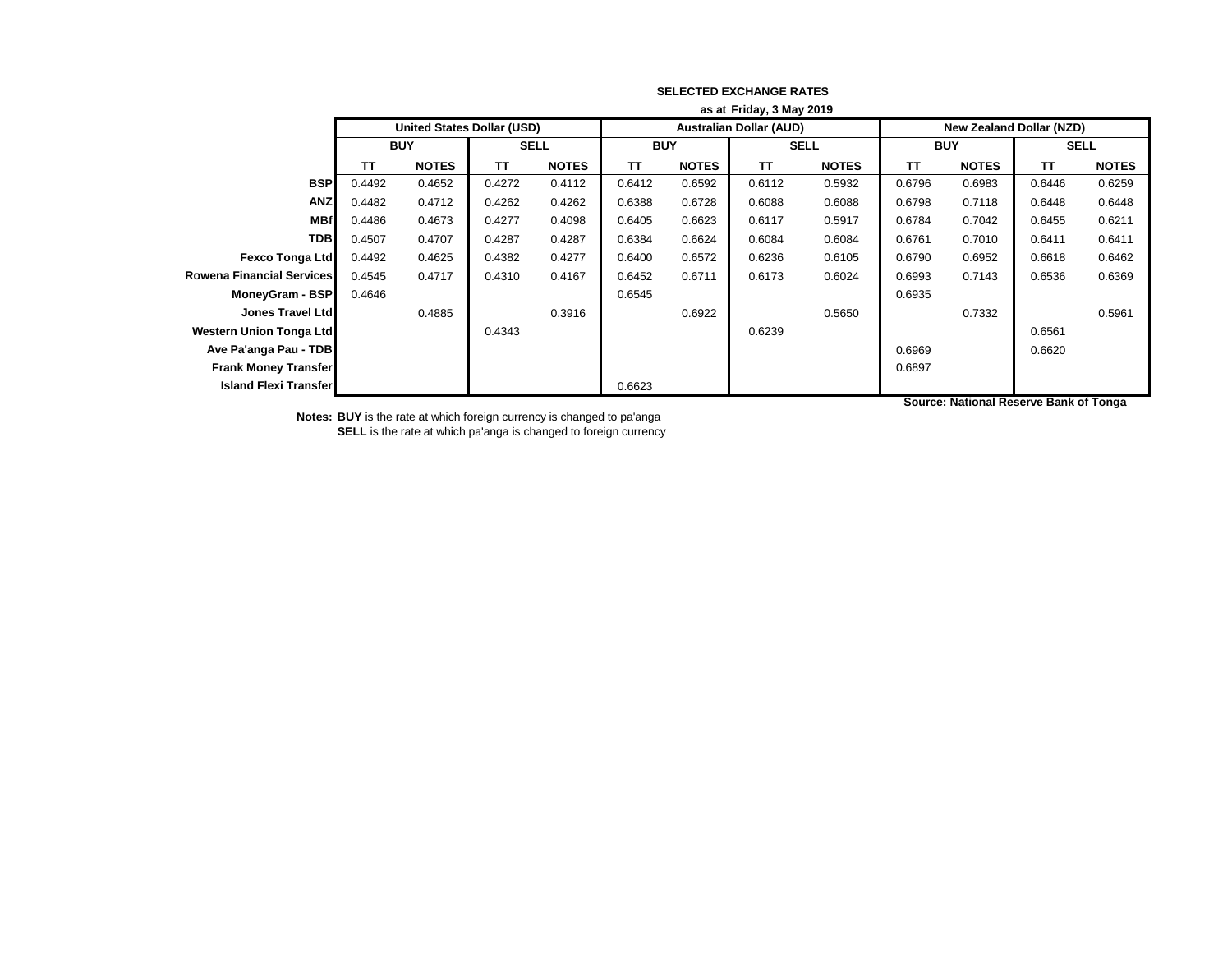|                                  | as at Friday, 3 May 2019 |                                   |             |              |            |              |                                |              |                                 |              |             |              |
|----------------------------------|--------------------------|-----------------------------------|-------------|--------------|------------|--------------|--------------------------------|--------------|---------------------------------|--------------|-------------|--------------|
|                                  |                          | <b>United States Dollar (USD)</b> |             |              |            |              | <b>Australian Dollar (AUD)</b> |              | <b>New Zealand Dollar (NZD)</b> |              |             |              |
|                                  | <b>BUY</b>               |                                   | <b>SELL</b> |              | <b>BUY</b> |              | <b>SELL</b>                    |              | <b>BUY</b>                      |              | <b>SELL</b> |              |
|                                  | TΤ                       | <b>NOTES</b>                      | <b>TT</b>   | <b>NOTES</b> | <b>TT</b>  | <b>NOTES</b> | TΤ                             | <b>NOTES</b> | <b>TT</b>                       | <b>NOTES</b> | <b>TT</b>   | <b>NOTES</b> |
| <b>BSP</b>                       | 0.4492                   | 0.4652                            | 0.4272      | 0.4112       | 0.6412     | 0.6592       | 0.6112                         | 0.5932       | 0.6796                          | 0.6983       | 0.6446      | 0.6259       |
| <b>ANZ</b>                       | 0.4482                   | 0.4712                            | 0.4262      | 0.4262       | 0.6388     | 0.6728       | 0.6088                         | 0.6088       | 0.6798                          | 0.7118       | 0.6448      | 0.6448       |
| <b>MBf</b>                       | 0.4486                   | 0.4673                            | 0.4277      | 0.4098       | 0.6405     | 0.6623       | 0.6117                         | 0.5917       | 0.6784                          | 0.7042       | 0.6455      | 0.6211       |
| <b>TDB</b>                       | 0.4507                   | 0.4707                            | 0.4287      | 0.4287       | 0.6384     | 0.6624       | 0.6084                         | 0.6084       | 0.6761                          | 0.7010       | 0.6411      | 0.6411       |
| Fexco Tonga Ltd                  | 0.4492                   | 0.4625                            | 0.4382      | 0.4277       | 0.6400     | 0.6572       | 0.6236                         | 0.6105       | 0.6790                          | 0.6952       | 0.6618      | 0.6462       |
| <b>Rowena Financial Services</b> | 0.4545                   | 0.4717                            | 0.4310      | 0.4167       | 0.6452     | 0.6711       | 0.6173                         | 0.6024       | 0.6993                          | 0.7143       | 0.6536      | 0.6369       |
| MoneyGram - BSP                  | 0.4646                   |                                   |             |              | 0.6545     |              |                                |              | 0.6935                          |              |             |              |
| <b>Jones Travel Ltd</b>          |                          | 0.4885                            |             | 0.3916       |            | 0.6922       |                                | 0.5650       |                                 | 0.7332       |             | 0.5961       |
| <b>Western Union Tonga Ltd</b>   |                          |                                   | 0.4343      |              |            |              | 0.6239                         |              |                                 |              | 0.6561      |              |
| Ave Pa'anga Pau - TDB            |                          |                                   |             |              |            |              |                                |              | 0.6969                          |              | 0.6620      |              |
| <b>Frank Money Transfer</b>      |                          |                                   |             |              |            |              |                                |              | 0.6897                          |              |             |              |
| <b>Island Flexi Transfer</b>     |                          |                                   |             |              | 0.6623     |              |                                |              |                                 |              |             |              |

**Source: National Reserve Bank of Tonga**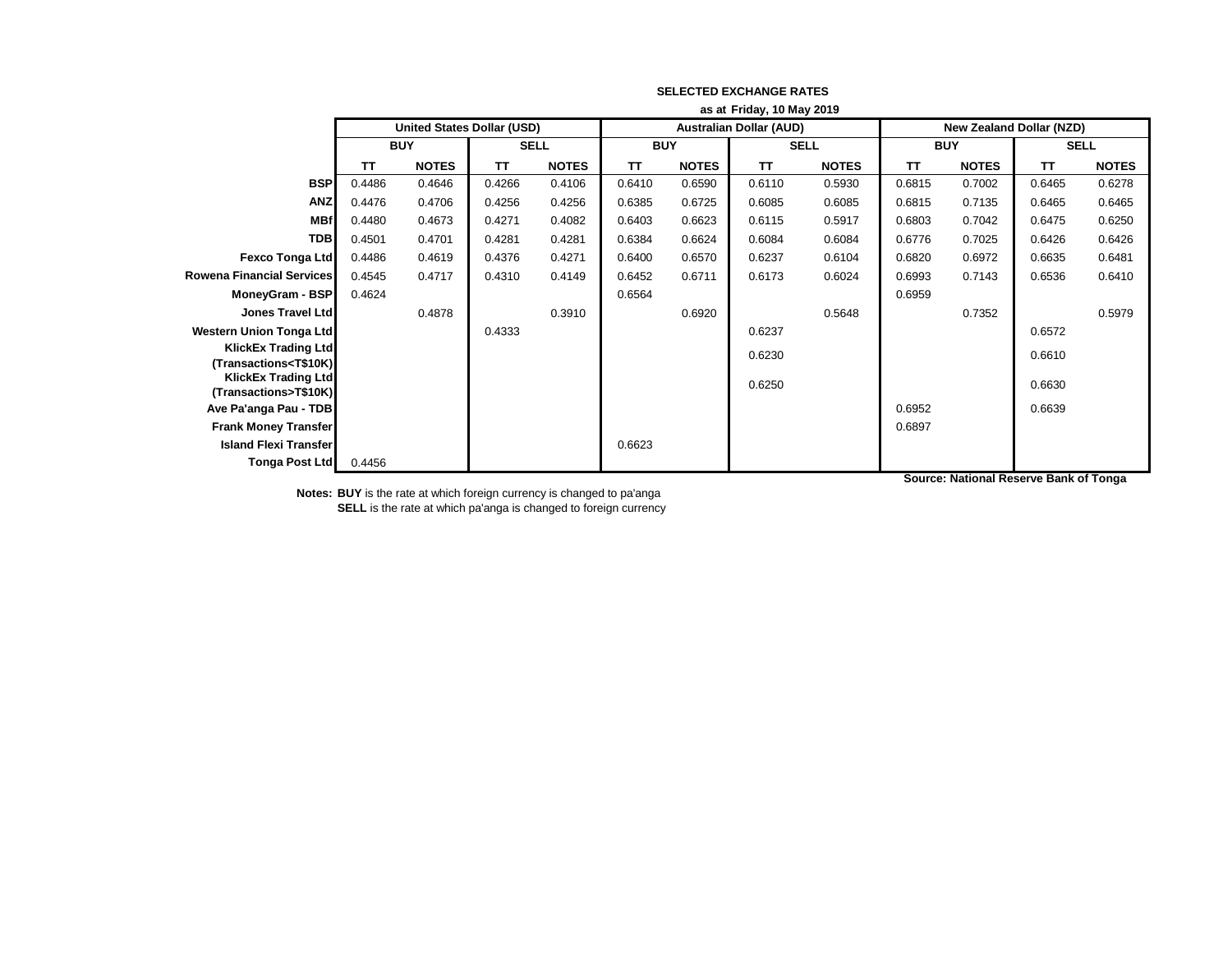|                                                                   | as at Friday, 10 May 2019 |                                   |             |              |                                |              |             |              |                                 |              |             |              |
|-------------------------------------------------------------------|---------------------------|-----------------------------------|-------------|--------------|--------------------------------|--------------|-------------|--------------|---------------------------------|--------------|-------------|--------------|
|                                                                   |                           | <b>United States Dollar (USD)</b> |             |              | <b>Australian Dollar (AUD)</b> |              |             |              | <b>New Zealand Dollar (NZD)</b> |              |             |              |
|                                                                   | <b>BUY</b>                |                                   | <b>SELL</b> |              | <b>BUY</b>                     |              | <b>SELL</b> |              | <b>BUY</b>                      |              | <b>SELL</b> |              |
|                                                                   | TΤ                        | <b>NOTES</b>                      | <b>TT</b>   | <b>NOTES</b> | <b>TT</b>                      | <b>NOTES</b> | <b>TT</b>   | <b>NOTES</b> | <b>TT</b>                       | <b>NOTES</b> | <b>TT</b>   | <b>NOTES</b> |
| <b>BSP</b>                                                        | 0.4486                    | 0.4646                            | 0.4266      | 0.4106       | 0.6410                         | 0.6590       | 0.6110      | 0.5930       | 0.6815                          | 0.7002       | 0.6465      | 0.6278       |
| <b>ANZ</b>                                                        | 0.4476                    | 0.4706                            | 0.4256      | 0.4256       | 0.6385                         | 0.6725       | 0.6085      | 0.6085       | 0.6815                          | 0.7135       | 0.6465      | 0.6465       |
| <b>MBf</b>                                                        | 0.4480                    | 0.4673                            | 0.4271      | 0.4082       | 0.6403                         | 0.6623       | 0.6115      | 0.5917       | 0.6803                          | 0.7042       | 0.6475      | 0.6250       |
| <b>TDB</b>                                                        | 0.4501                    | 0.4701                            | 0.4281      | 0.4281       | 0.6384                         | 0.6624       | 0.6084      | 0.6084       | 0.6776                          | 0.7025       | 0.6426      | 0.6426       |
| <b>Fexco Tonga Ltd</b>                                            | 0.4486                    | 0.4619                            | 0.4376      | 0.4271       | 0.6400                         | 0.6570       | 0.6237      | 0.6104       | 0.6820                          | 0.6972       | 0.6635      | 0.6481       |
| <b>Rowena Financial Services</b>                                  | 0.4545                    | 0.4717                            | 0.4310      | 0.4149       | 0.6452                         | 0.6711       | 0.6173      | 0.6024       | 0.6993                          | 0.7143       | 0.6536      | 0.6410       |
| MoneyGram - BSP                                                   | 0.4624                    |                                   |             |              | 0.6564                         |              |             |              | 0.6959                          |              |             |              |
| Jones Travel Ltd                                                  |                           | 0.4878                            |             | 0.3910       |                                | 0.6920       |             | 0.5648       |                                 | 0.7352       |             | 0.5979       |
| Western Union Tonga Ltd                                           |                           |                                   | 0.4333      |              |                                |              | 0.6237      |              |                                 |              | 0.6572      |              |
| <b>KlickEx Trading Ltd</b>                                        |                           |                                   |             |              |                                |              | 0.6230      |              |                                 |              | 0.6610      |              |
| (Transactions <t\$10k)<br><b>KlickEx Trading Ltd</b></t\$10k)<br> |                           |                                   |             |              |                                |              |             |              |                                 |              |             |              |
| (Transactions>T\$10K)                                             |                           |                                   |             |              |                                |              | 0.6250      |              |                                 |              | 0.6630      |              |
| Ave Pa'anga Pau - TDB                                             |                           |                                   |             |              |                                |              |             |              | 0.6952                          |              | 0.6639      |              |
| <b>Frank Money Transfer</b>                                       |                           |                                   |             |              |                                |              |             |              | 0.6897                          |              |             |              |
| <b>Island Flexi Transfer</b>                                      |                           |                                   |             |              | 0.6623                         |              |             |              |                                 |              |             |              |
| Tonga Post Ltd                                                    | 0.4456                    |                                   |             |              |                                |              |             |              |                                 |              |             |              |

**Source: National Reserve Bank of Tonga**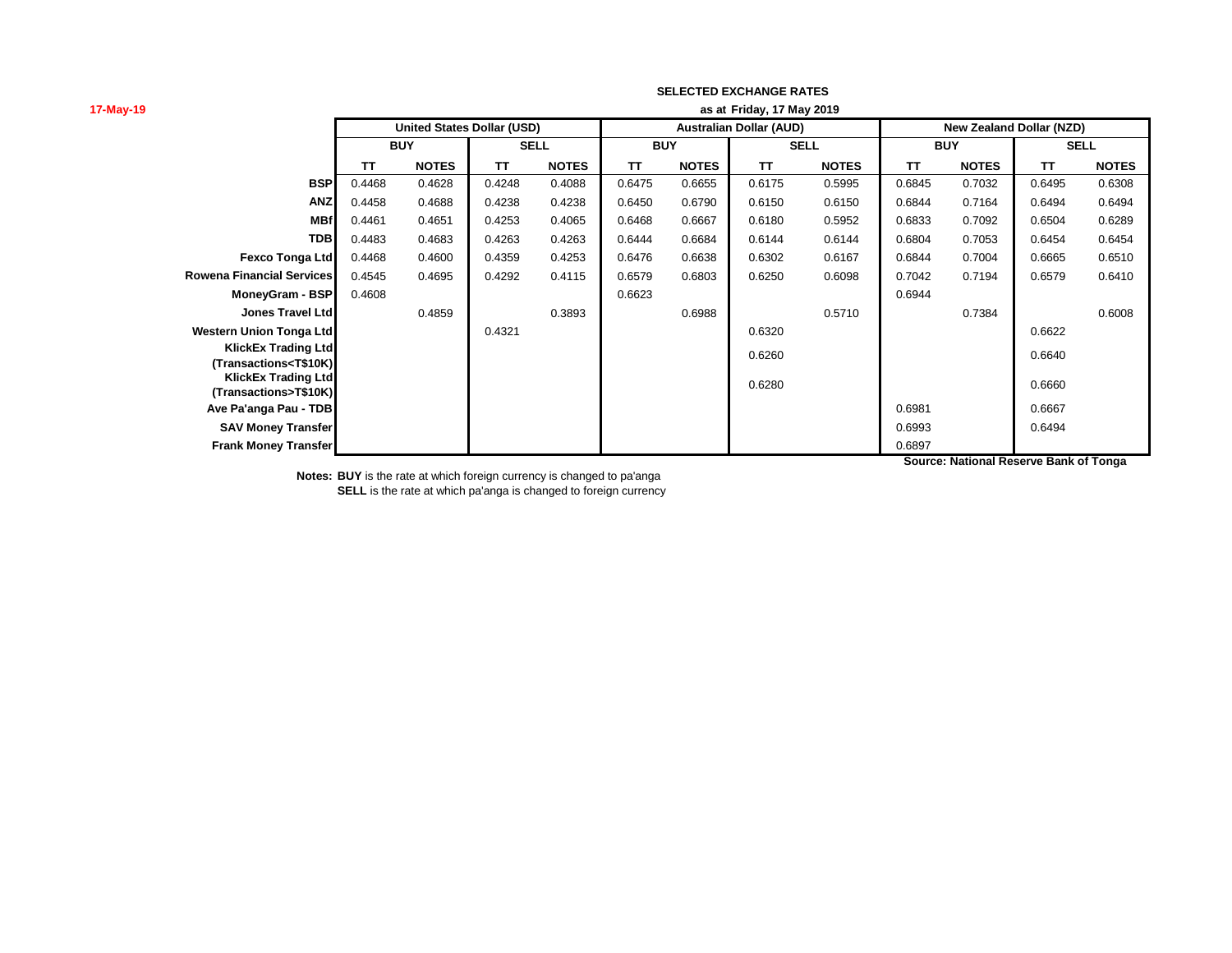| 17-May-19                                                                                                                                                                                       | as at Friday, 17 May 2019 |                                   |             |              |            |              |                                |              |                                 |              |             |              |
|-------------------------------------------------------------------------------------------------------------------------------------------------------------------------------------------------|---------------------------|-----------------------------------|-------------|--------------|------------|--------------|--------------------------------|--------------|---------------------------------|--------------|-------------|--------------|
|                                                                                                                                                                                                 |                           | <b>United States Dollar (USD)</b> |             |              |            |              | <b>Australian Dollar (AUD)</b> |              | <b>New Zealand Dollar (NZD)</b> |              |             |              |
|                                                                                                                                                                                                 | <b>BUY</b>                |                                   | <b>SELL</b> |              | <b>BUY</b> |              | <b>SELL</b>                    |              | <b>BUY</b>                      |              | <b>SELL</b> |              |
|                                                                                                                                                                                                 | TΤ                        | <b>NOTES</b>                      | <b>TT</b>   | <b>NOTES</b> | <b>TT</b>  | <b>NOTES</b> | <b>TT</b>                      | <b>NOTES</b> | <b>TT</b>                       | <b>NOTES</b> | <b>TT</b>   | <b>NOTES</b> |
| <b>BSP</b>                                                                                                                                                                                      | 0.4468                    | 0.4628                            | 0.4248      | 0.4088       | 0.6475     | 0.6655       | 0.6175                         | 0.5995       | 0.6845                          | 0.7032       | 0.6495      | 0.6308       |
| <b>ANZ</b>                                                                                                                                                                                      | 0.4458                    | 0.4688                            | 0.4238      | 0.4238       | 0.6450     | 0.6790       | 0.6150                         | 0.6150       | 0.6844                          | 0.7164       | 0.6494      | 0.6494       |
| <b>MBf</b>                                                                                                                                                                                      | 0.4461                    | 0.4651                            | 0.4253      | 0.4065       | 0.6468     | 0.6667       | 0.6180                         | 0.5952       | 0.6833                          | 0.7092       | 0.6504      | 0.6289       |
| <b>TDB</b>                                                                                                                                                                                      | 0.4483                    | 0.4683                            | 0.4263      | 0.4263       | 0.6444     | 0.6684       | 0.6144                         | 0.6144       | 0.6804                          | 0.7053       | 0.6454      | 0.6454       |
| Fexco Tonga Ltd                                                                                                                                                                                 | 0.4468                    | 0.4600                            | 0.4359      | 0.4253       | 0.6476     | 0.6638       | 0.6302                         | 0.6167       | 0.6844                          | 0.7004       | 0.6665      | 0.6510       |
| <b>Rowena Financial Services</b>                                                                                                                                                                | 0.4545                    | 0.4695                            | 0.4292      | 0.4115       | 0.6579     | 0.6803       | 0.6250                         | 0.6098       | 0.7042                          | 0.7194       | 0.6579      | 0.6410       |
| MoneyGram - BSP                                                                                                                                                                                 | 0.4608                    |                                   |             |              | 0.6623     |              |                                |              | 0.6944                          |              |             |              |
| <b>Jones Travel Ltd</b>                                                                                                                                                                         |                           | 0.4859                            |             | 0.3893       |            | 0.6988       |                                | 0.5710       |                                 | 0.7384       |             | 0.6008       |
| <b>Western Union Tonga Ltd</b>                                                                                                                                                                  |                           |                                   | 0.4321      |              |            |              | 0.6320                         |              |                                 |              | 0.6622      |              |
| <b>KlickEx Trading Ltd</b><br>(Transactions <t\$10k)< th=""><th></th><th></th><th></th><th></th><th></th><th></th><th>0.6260</th><th></th><th></th><th></th><th>0.6640</th><th></th></t\$10k)<> |                           |                                   |             |              |            |              | 0.6260                         |              |                                 |              | 0.6640      |              |
| <b>KlickEx Trading Ltd</b><br>(Transactions>T\$10K)                                                                                                                                             |                           |                                   |             |              |            |              | 0.6280                         |              |                                 |              | 0.6660      |              |
| Ave Pa'anga Pau - TDB                                                                                                                                                                           |                           |                                   |             |              |            |              |                                |              | 0.6981                          |              | 0.6667      |              |
| <b>SAV Money Transfer</b>                                                                                                                                                                       |                           |                                   |             |              |            |              |                                |              | 0.6993                          |              | 0.6494      |              |
| <b>Frank Money Transfer</b>                                                                                                                                                                     |                           |                                   |             |              |            |              |                                |              | 0.6897                          |              |             |              |

**Notes: BUY** is the rate at which foreign currency is changed to pa'anga **SELL** is the rate at which pa'anga is changed to foreign currency **Source: National Reserve Bank of Tonga**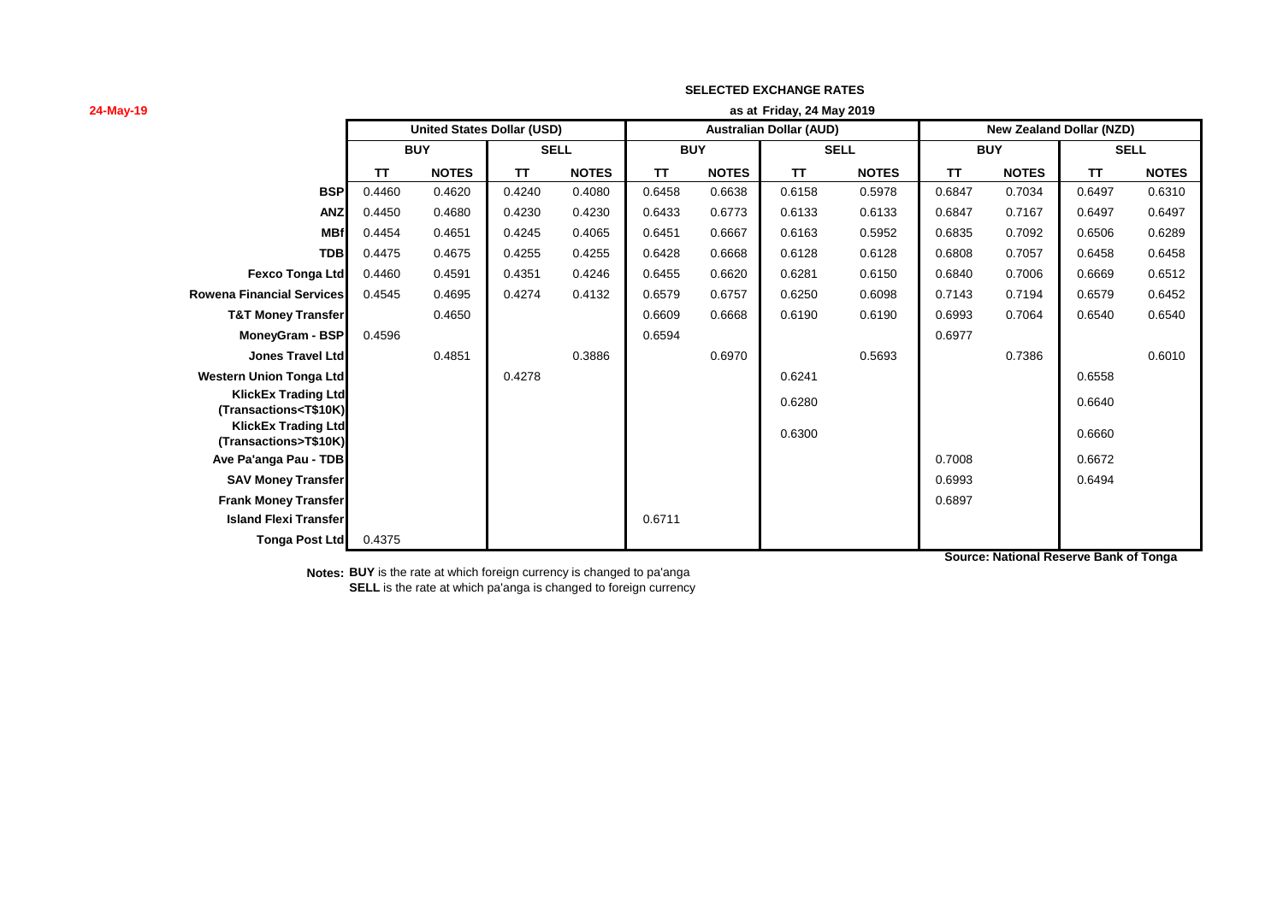| 24-May-19                                                                                                                                                                                       | as at Friday, 24 May 2019 |                                   |             |              |           |              |                                |              |                                 |              |        |              |
|-------------------------------------------------------------------------------------------------------------------------------------------------------------------------------------------------|---------------------------|-----------------------------------|-------------|--------------|-----------|--------------|--------------------------------|--------------|---------------------------------|--------------|--------|--------------|
|                                                                                                                                                                                                 |                           | <b>United States Dollar (USD)</b> |             |              |           |              | <b>Australian Dollar (AUD)</b> |              | <b>New Zealand Dollar (NZD)</b> |              |        |              |
|                                                                                                                                                                                                 | <b>BUY</b>                |                                   | <b>SELL</b> |              |           | <b>BUY</b>   |                                | <b>SELL</b>  |                                 | <b>BUY</b>   |        | <b>SELL</b>  |
|                                                                                                                                                                                                 | TΤ                        | <b>NOTES</b>                      | TΤ          | <b>NOTES</b> | <b>TT</b> | <b>NOTES</b> | TΤ                             | <b>NOTES</b> | ΤT                              | <b>NOTES</b> | TΤ     | <b>NOTES</b> |
| <b>BSP</b>                                                                                                                                                                                      | 0.4460                    | 0.4620                            | 0.4240      | 0.4080       | 0.6458    | 0.6638       | 0.6158                         | 0.5978       | 0.6847                          | 0.7034       | 0.6497 | 0.6310       |
| <b>ANZ</b>                                                                                                                                                                                      | 0.4450                    | 0.4680                            | 0.4230      | 0.4230       | 0.6433    | 0.6773       | 0.6133                         | 0.6133       | 0.6847                          | 0.7167       | 0.6497 | 0.6497       |
| <b>MBf</b>                                                                                                                                                                                      | 0.4454                    | 0.4651                            | 0.4245      | 0.4065       | 0.6451    | 0.6667       | 0.6163                         | 0.5952       | 0.6835                          | 0.7092       | 0.6506 | 0.6289       |
| <b>TDB</b>                                                                                                                                                                                      | 0.4475                    | 0.4675                            | 0.4255      | 0.4255       | 0.6428    | 0.6668       | 0.6128                         | 0.6128       | 0.6808                          | 0.7057       | 0.6458 | 0.6458       |
| <b>Fexco Tonga Ltd</b>                                                                                                                                                                          | 0.4460                    | 0.4591                            | 0.4351      | 0.4246       | 0.6455    | 0.6620       | 0.6281                         | 0.6150       | 0.6840                          | 0.7006       | 0.6669 | 0.6512       |
| <b>Rowena Financial Services</b>                                                                                                                                                                | 0.4545                    | 0.4695                            | 0.4274      | 0.4132       | 0.6579    | 0.6757       | 0.6250                         | 0.6098       | 0.7143                          | 0.7194       | 0.6579 | 0.6452       |
| <b>T&amp;T Money Transfer</b>                                                                                                                                                                   |                           | 0.4650                            |             |              | 0.6609    | 0.6668       | 0.6190                         | 0.6190       | 0.6993                          | 0.7064       | 0.6540 | 0.6540       |
| MoneyGram - BSP                                                                                                                                                                                 | 0.4596                    |                                   |             |              | 0.6594    |              |                                |              | 0.6977                          |              |        |              |
| <b>Jones Travel Ltd</b>                                                                                                                                                                         |                           | 0.4851                            |             | 0.3886       |           | 0.6970       |                                | 0.5693       |                                 | 0.7386       |        | 0.6010       |
| <b>Western Union Tonga Ltd</b>                                                                                                                                                                  |                           |                                   | 0.4278      |              |           |              | 0.6241                         |              |                                 |              | 0.6558 |              |
| <b>KlickEx Trading Ltd</b><br>(Transactions <t\$10k)< th=""><th></th><th></th><th></th><th></th><th></th><th></th><th>0.6280</th><th></th><th></th><th></th><th>0.6640</th><th></th></t\$10k)<> |                           |                                   |             |              |           |              | 0.6280                         |              |                                 |              | 0.6640 |              |
| <b>KlickEx Trading Ltd</b><br>(Transactions>T\$10K)                                                                                                                                             |                           |                                   |             |              |           |              | 0.6300                         |              |                                 |              | 0.6660 |              |
| Ave Pa'anga Pau - TDB                                                                                                                                                                           |                           |                                   |             |              |           |              |                                |              | 0.7008                          |              | 0.6672 |              |
| <b>SAV Money Transfer</b>                                                                                                                                                                       |                           |                                   |             |              |           |              |                                |              | 0.6993                          |              | 0.6494 |              |
| <b>Frank Money Transfer</b>                                                                                                                                                                     |                           |                                   |             |              |           |              |                                |              | 0.6897                          |              |        |              |
| <b>Island Flexi Transfer</b>                                                                                                                                                                    |                           |                                   |             |              | 0.6711    |              |                                |              |                                 |              |        |              |
| <b>Tonga Post Ltd</b>                                                                                                                                                                           | 0.4375                    |                                   |             |              |           |              |                                |              |                                 |              |        |              |

**Source: National Reserve Bank of Tonga**